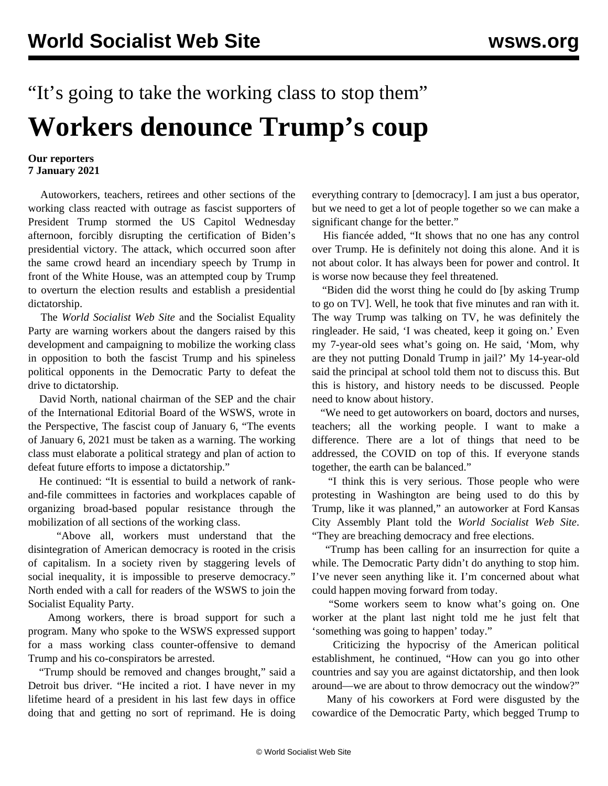## "It's going to take the working class to stop them" **Workers denounce Trump's coup**

## **Our reporters 7 January 2021**

 Autoworkers, teachers, retirees and other sections of the working class reacted with outrage as fascist supporters of President Trump stormed the US Capitol Wednesday afternoon, forcibly disrupting the certification of Biden's presidential victory. The attack, which occurred soon after the same crowd heard an incendiary speech by Trump in front of the White House, was an attempted coup by Trump to overturn the election results and establish a presidential dictatorship.

 The *World Socialist Web Site* and the Socialist Equality Party are warning workers about the dangers raised by this development and campaigning to mobilize the working class in opposition to both the fascist Trump and his spineless political opponents in the Democratic Party to defeat the drive to dictatorship.

 David North, national chairman of the SEP and the chair of the International Editorial Board of the WSWS, wrote in the Perspective, [The fascist coup of January 6](/en/articles/2021/01/07/pers-j07.html), "The events of January 6, 2021 must be taken as a warning. The working class must elaborate a political strategy and plan of action to defeat future efforts to impose a dictatorship."

 He continued: "It is essential to build a network of rankand-file committees in factories and workplaces capable of organizing broad-based popular resistance through the mobilization of all sections of the working class.

 "Above all, workers must understand that the disintegration of American democracy is rooted in the crisis of capitalism. In a society riven by staggering levels of social inequality, it is impossible to preserve democracy." North ended with a call for readers of the WSWS to [join the](/en/special/pages/sep/us/join.html) [Socialist Equality Party](/en/special/pages/sep/us/join.html).

 Among workers, there is broad support for such a program. Many who spoke to the WSWS expressed support for a mass working class counter-offensive to demand Trump and his co-conspirators be arrested.

 "Trump should be removed and changes brought," said a Detroit bus driver. "He incited a riot. I have never in my lifetime heard of a president in his last few days in office doing that and getting no sort of reprimand. He is doing everything contrary to [democracy]. I am just a bus operator, but we need to get a lot of people together so we can make a significant change for the better."

 His fiancée added, "It shows that no one has any control over Trump. He is definitely not doing this alone. And it is not about color. It has always been for power and control. It is worse now because they feel threatened.

 "Biden did the worst thing he could do [by asking Trump to go on TV]. Well, he took that five minutes and ran with it. The way Trump was talking on TV, he was definitely the ringleader. He said, 'I was cheated, keep it going on.' Even my 7-year-old sees what's going on. He said, 'Mom, why are they not putting Donald Trump in jail?' My 14-year-old said the principal at school told them not to discuss this. But this is history, and history needs to be discussed. People need to know about history.

 "We need to get autoworkers on board, doctors and nurses, teachers; all the working people. I want to make a difference. There are a lot of things that need to be addressed, the COVID on top of this. If everyone stands together, the earth can be balanced."

 "I think this is very serious. Those people who were protesting in Washington are being used to do this by Trump, like it was planned," an autoworker at Ford Kansas City Assembly Plant told the *World Socialist Web Site*. "They are breaching democracy and free elections.

 "Trump has been calling for an insurrection for quite a while. The Democratic Party didn't do anything to stop him. I've never seen anything like it. I'm concerned about what could happen moving forward from today.

 "Some workers seem to know what's going on. One worker at the plant last night told me he just felt that 'something was going to happen' today."

 Criticizing the hypocrisy of the American political establishment, he continued, "How can you go into other countries and say you are against dictatorship, and then look around—we are about to throw democracy out the window?"

 Many of his coworkers at Ford were disgusted by the cowardice of the Democratic Party, which begged Trump to